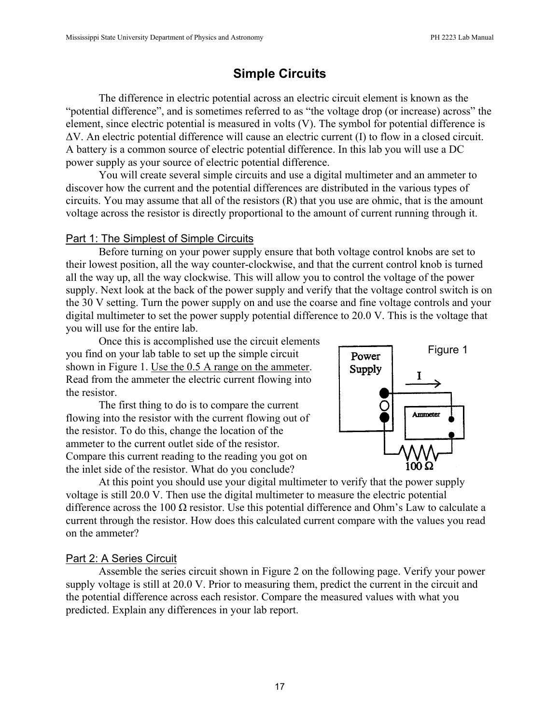# **Simple Circuits**

The difference in electric potential across an electric circuit element is known as the "potential difference", and is sometimes referred to as "the voltage drop (or increase) across" the element, since electric potential is measured in volts (V). The symbol for potential difference is ∆V. An electric potential difference will cause an electric current (I) to flow in a closed circuit. A battery is a common source of electric potential difference. In this lab you will use a DC power supply as your source of electric potential difference.

You will create several simple circuits and use a digital multimeter and an ammeter to discover how the current and the potential differences are distributed in the various types of circuits. You may assume that all of the resistors (R) that you use are ohmic, that is the amount voltage across the resistor is directly proportional to the amount of current running through it.

### Part 1: The Simplest of Simple Circuits

Before turning on your power supply ensure that both voltage control knobs are set to their lowest position, all the way counter-clockwise, and that the current control knob is turned all the way up, all the way clockwise. This will allow you to control the voltage of the power supply. Next look at the back of the power supply and verify that the voltage control switch is on the 30 V setting. Turn the power supply on and use the coarse and fine voltage controls and your digital multimeter to set the power supply potential difference to 20.0 V. This is the voltage that you will use for the entire lab.

Once this is accomplished use the circuit elements you find on your lab table to set up the simple circuit shown in Figure 1. Use the 0.5 A range on the ammeter. Read from the ammeter the electric current flowing into the resistor.

The first thing to do is to compare the current flowing into the resistor with the current flowing out of the resistor. To do this, change the location of the ammeter to the current outlet side of the resistor. Compare this current reading to the reading you got on the inlet side of the resistor. What do you conclude?



At this point you should use your digital multimeter to verify that the power supply voltage is still 20.0 V. Then use the digital multimeter to measure the electric potential difference across the 100  $\Omega$  resistor. Use this potential difference and Ohm's Law to calculate a current through the resistor. How does this calculated current compare with the values you read on the ammeter?

# Part 2: A Series Circuit

Assemble the series circuit shown in Figure 2 on the following page. Verify your power supply voltage is still at 20.0 V. Prior to measuring them, predict the current in the circuit and the potential difference across each resistor. Compare the measured values with what you predicted. Explain any differences in your lab report.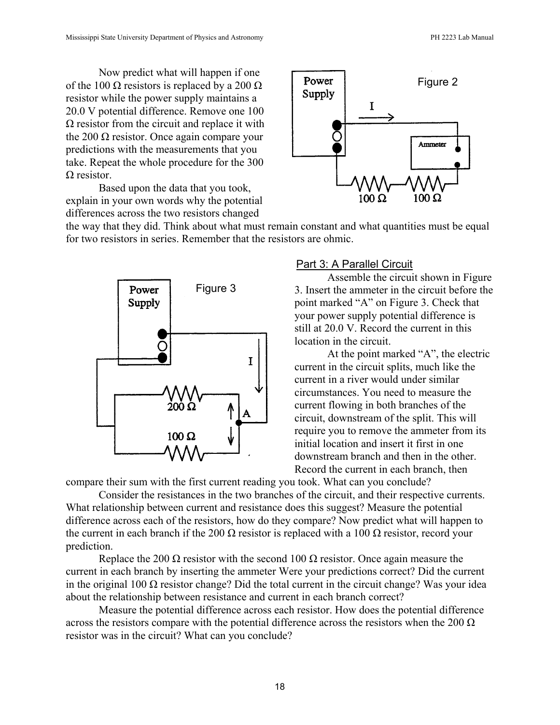Now predict what will happen if one of the 100  $\Omega$  resistors is replaced by a 200  $\Omega$ resistor while the power supply maintains a 20.0 V potential difference. Remove one 100  $\Omega$  resistor from the circuit and replace it with the 200  $\Omega$  resistor. Once again compare your predictions with the measurements that you take. Repeat the whole procedure for the 300  $\Omega$  resistor.

Based upon the data that you took, explain in your own words why the potential differences across the two resistors changed

the way that they did. Think about what must remain constant and what quantities must be equal for two resistors in series. Remember that the resistors are ohmic.



### Part 3: A Parallel Circuit

Assemble the circuit shown in Figure 3. Insert the ammeter in the circuit before the point marked "A" on Figure 3. Check that your power supply potential difference is still at 20.0 V. Record the current in this location in the circuit.

At the point marked "A", the electric current in the circuit splits, much like the current in a river would under similar circumstances. You need to measure the current flowing in both branches of the circuit, downstream of the split. This will require you to remove the ammeter from its initial location and insert it first in one downstream branch and then in the other. Record the current in each branch, then

compare their sum with the first current reading you took. What can you conclude?

Consider the resistances in the two branches of the circuit, and their respective currents. What relationship between current and resistance does this suggest? Measure the potential difference across each of the resistors, how do they compare? Now predict what will happen to the current in each branch if the 200  $\Omega$  resistor is replaced with a 100  $\Omega$  resistor, record your prediction.

Replace the 200  $\Omega$  resistor with the second 100  $\Omega$  resistor. Once again measure the current in each branch by inserting the ammeter Were your predictions correct? Did the current in the original 100  $\Omega$  resistor change? Did the total current in the circuit change? Was your idea about the relationship between resistance and current in each branch correct?

Measure the potential difference across each resistor. How does the potential difference across the resistors compare with the potential difference across the resistors when the 200  $\Omega$ resistor was in the circuit? What can you conclude?